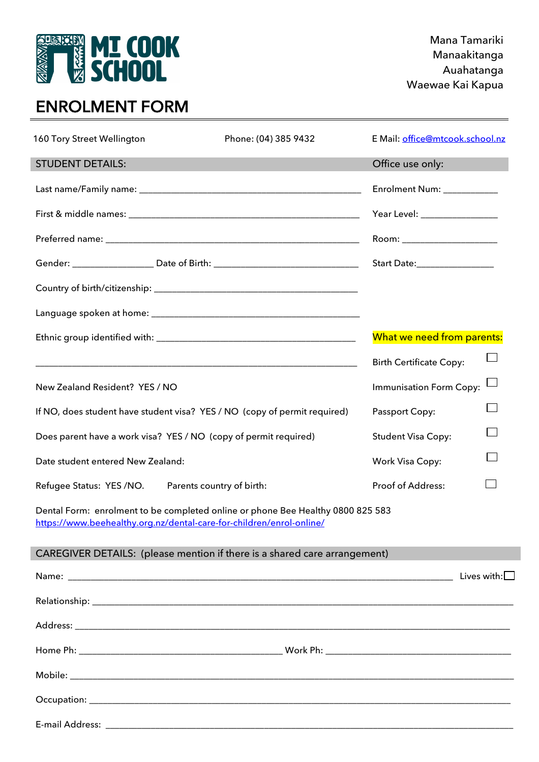# **EURREAD MT COOK**

### Mana Tamariki Manaakitanga Auahatanga Waewae Kai Kapua

## ENROLMENT FORM

| 160 Tory Street Wellington                                       | Phone: (04) 385 9432                                                                                                                                    | E Mail: office@mtcook.school.nz |                       |
|------------------------------------------------------------------|---------------------------------------------------------------------------------------------------------------------------------------------------------|---------------------------------|-----------------------|
| <b>STUDENT DETAILS:</b>                                          |                                                                                                                                                         | Office use only:                |                       |
|                                                                  |                                                                                                                                                         | Enrolment Num: __________       |                       |
|                                                                  |                                                                                                                                                         | Year Level: _________________   |                       |
|                                                                  |                                                                                                                                                         | Room: ______________________    |                       |
|                                                                  | Gender: ______________________ Date of Birth: __________________________________                                                                        | Start Date:_________________    |                       |
|                                                                  |                                                                                                                                                         |                                 |                       |
|                                                                  |                                                                                                                                                         |                                 |                       |
|                                                                  |                                                                                                                                                         | What we need from parents:      |                       |
|                                                                  |                                                                                                                                                         | <b>Birth Certificate Copy:</b>  |                       |
| New Zealand Resident? YES / NO                                   |                                                                                                                                                         | Immunisation Form Copy:         |                       |
|                                                                  | If NO, does student have student visa? YES / NO (copy of permit required)                                                                               | Passport Copy:                  |                       |
| Does parent have a work visa? YES / NO (copy of permit required) |                                                                                                                                                         | <b>Student Visa Copy:</b>       |                       |
| Date student entered New Zealand:                                |                                                                                                                                                         | <b>Work Visa Copy:</b>          |                       |
| Refugee Status: YES /NO.                                         | Parents country of birth:                                                                                                                               | Proof of Address:               |                       |
|                                                                  | Dental Form: enrolment to be completed online or phone Bee Healthy 0800 825 583<br>https://www.beehealthy.org.nz/dental-care-for-children/enrol-online/ |                                 |                       |
|                                                                  | CAREGIVER DETAILS: (please mention if there is a shared care arrangement)                                                                               |                                 |                       |
|                                                                  |                                                                                                                                                         |                                 | Lives with: $\square$ |
|                                                                  |                                                                                                                                                         |                                 |                       |
|                                                                  |                                                                                                                                                         |                                 |                       |
|                                                                  |                                                                                                                                                         |                                 |                       |
|                                                                  |                                                                                                                                                         |                                 |                       |
|                                                                  |                                                                                                                                                         |                                 |                       |
|                                                                  |                                                                                                                                                         |                                 |                       |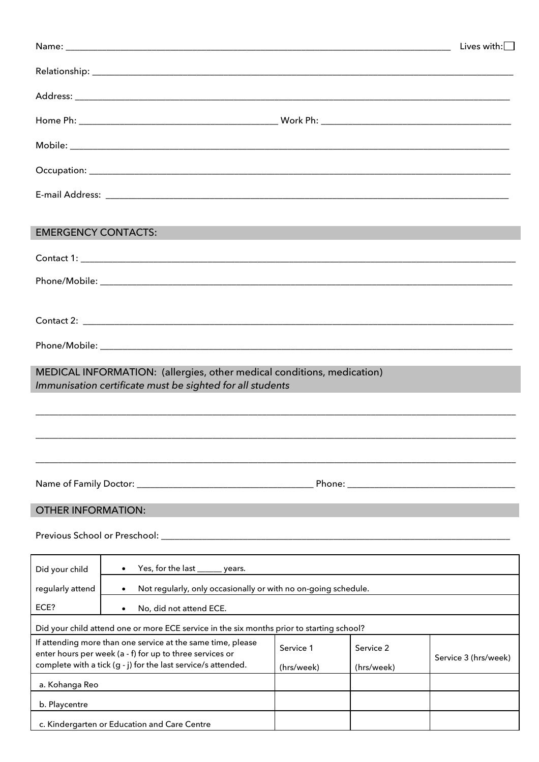|                            |                                                                                                                                                                                          |                         |                                                                                                                                                                                                                                | Lives with: $\square$ |  |
|----------------------------|------------------------------------------------------------------------------------------------------------------------------------------------------------------------------------------|-------------------------|--------------------------------------------------------------------------------------------------------------------------------------------------------------------------------------------------------------------------------|-----------------------|--|
|                            |                                                                                                                                                                                          |                         |                                                                                                                                                                                                                                |                       |  |
|                            |                                                                                                                                                                                          |                         |                                                                                                                                                                                                                                |                       |  |
|                            |                                                                                                                                                                                          |                         |                                                                                                                                                                                                                                |                       |  |
|                            |                                                                                                                                                                                          |                         |                                                                                                                                                                                                                                |                       |  |
|                            |                                                                                                                                                                                          |                         |                                                                                                                                                                                                                                |                       |  |
|                            |                                                                                                                                                                                          |                         |                                                                                                                                                                                                                                |                       |  |
|                            |                                                                                                                                                                                          |                         |                                                                                                                                                                                                                                |                       |  |
| <b>EMERGENCY CONTACTS:</b> |                                                                                                                                                                                          |                         |                                                                                                                                                                                                                                |                       |  |
|                            |                                                                                                                                                                                          |                         |                                                                                                                                                                                                                                |                       |  |
|                            |                                                                                                                                                                                          |                         |                                                                                                                                                                                                                                |                       |  |
|                            |                                                                                                                                                                                          |                         |                                                                                                                                                                                                                                |                       |  |
|                            |                                                                                                                                                                                          |                         |                                                                                                                                                                                                                                |                       |  |
|                            |                                                                                                                                                                                          |                         |                                                                                                                                                                                                                                |                       |  |
|                            | MEDICAL INFORMATION: (allergies, other medical conditions, medication)                                                                                                                   |                         |                                                                                                                                                                                                                                |                       |  |
|                            | Immunisation certificate must be sighted for all students                                                                                                                                |                         |                                                                                                                                                                                                                                |                       |  |
|                            |                                                                                                                                                                                          |                         |                                                                                                                                                                                                                                |                       |  |
|                            |                                                                                                                                                                                          |                         |                                                                                                                                                                                                                                |                       |  |
|                            |                                                                                                                                                                                          |                         |                                                                                                                                                                                                                                |                       |  |
|                            |                                                                                                                                                                                          |                         | Phone: National Phone State of the Contract of the Contract of the Contract of the Contract of the Contract of the Contract of the Contract of the Contract of the Contract of the Contract of the Contract of the Contract of |                       |  |
| <b>OTHER INFORMATION:</b>  |                                                                                                                                                                                          |                         |                                                                                                                                                                                                                                |                       |  |
|                            |                                                                                                                                                                                          |                         |                                                                                                                                                                                                                                |                       |  |
|                            | Previous School or Preschool: ________                                                                                                                                                   |                         |                                                                                                                                                                                                                                |                       |  |
| Did your child             | Yes, for the last ______ years.<br>$\bullet$                                                                                                                                             |                         |                                                                                                                                                                                                                                |                       |  |
| regularly attend           | Not regularly, only occasionally or with no on-going schedule.                                                                                                                           |                         |                                                                                                                                                                                                                                |                       |  |
| ECE?                       | No, did not attend ECE.                                                                                                                                                                  |                         |                                                                                                                                                                                                                                |                       |  |
|                            | Did your child attend one or more ECE service in the six months prior to starting school?                                                                                                |                         |                                                                                                                                                                                                                                |                       |  |
|                            | If attending more than one service at the same time, please<br>enter hours per week (a - f) for up to three services or<br>complete with a tick (g - j) for the last service/s attended. | Service 1<br>(hrs/week) | Service 2<br>(hrs/week)                                                                                                                                                                                                        | Service 3 (hrs/week)  |  |
| a. Kohanga Reo             |                                                                                                                                                                                          |                         |                                                                                                                                                                                                                                |                       |  |
| b. Playcentre              |                                                                                                                                                                                          |                         |                                                                                                                                                                                                                                |                       |  |
|                            | c. Kindergarten or Education and Care Centre                                                                                                                                             |                         |                                                                                                                                                                                                                                |                       |  |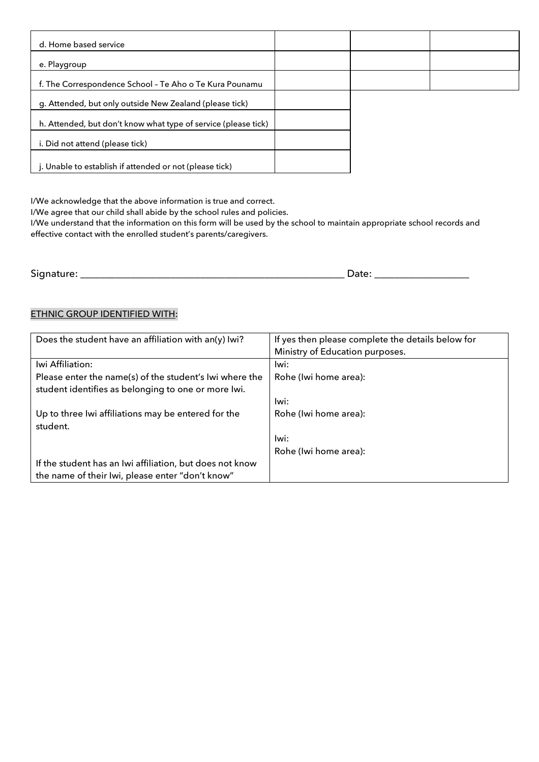| d. Home based service                                          |  |  |
|----------------------------------------------------------------|--|--|
| e. Playgroup                                                   |  |  |
| f. The Correspondence School - Te Aho o Te Kura Pounamu        |  |  |
| g. Attended, but only outside New Zealand (please tick)        |  |  |
| h. Attended, but don't know what type of service (please tick) |  |  |
| i. Did not attend (please tick)                                |  |  |
| j. Unable to establish if attended or not (please tick)        |  |  |

I/We acknowledge that the above information is true and correct.

I/We agree that our child shall abide by the school rules and policies.

I/We understand that the information on this form will be used by the school to maintain appropriate school records and effective contact with the enrolled student's parents/caregivers.

Signature: \_\_\_\_\_\_\_\_\_\_\_\_\_\_\_\_\_\_\_\_\_\_\_\_\_\_\_\_\_\_\_\_\_\_\_\_\_\_\_\_\_\_\_\_\_\_\_\_\_\_\_\_\_ Date: \_\_\_\_\_\_\_\_\_\_\_\_\_\_\_\_\_\_\_

#### ETHNIC GROUP IDENTIFIED WITH:

| Does the student have an affiliation with an(y) lwi?     | If yes then please complete the details below for |
|----------------------------------------------------------|---------------------------------------------------|
|                                                          | Ministry of Education purposes.                   |
| Iwi Affiliation:                                         | Iwi:                                              |
| Please enter the name(s) of the student's Iwi where the  | Rohe (Iwi home area):                             |
| student identifies as belonging to one or more lwi.      |                                                   |
|                                                          | lwi:                                              |
| Up to three Iwi affiliations may be entered for the      | Rohe (Iwi home area):                             |
| student.                                                 |                                                   |
|                                                          | lwi:                                              |
|                                                          | Rohe (Iwi home area):                             |
| If the student has an Iwi affiliation, but does not know |                                                   |
| the name of their Iwi, please enter "don't know"         |                                                   |